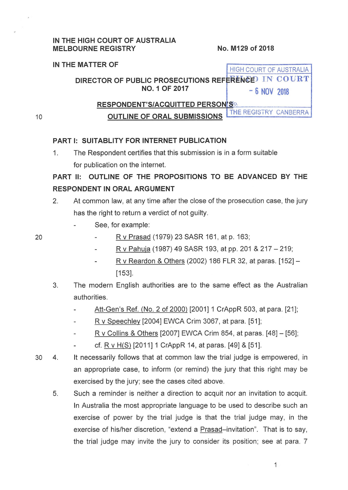#### **IN THE HIGH COURT OF AUSTRALIA MELBOURNE REGISTRY No. M129 of 2018**

## **IN THE MATTER OF** HIGH COURT OF AUSTRALIA **DIRECTOR OF PUBLIC PROSECUTIONS REFERENCED IN COURT NO.1 OF 2017** - **6 NOV 2018 RESPONDENT'S/ACQUITTED PERSON'S**<sup>O.</sup><br>CUTLINE OF ODAL QUENIQQIONS THE REGISTRY CANBERRA **OUTLINE OF ORAL SUBMISSIONS**

10

20

### **PART 1: SUITABLITY FOR INTERNET PUBLICATION**

1. The Respondent certifies that this submission is in a form suitable for publication on the internet.

# **PART II: OUTLINE OF THE PROPOSITIONS TO BE ADVANCED BY THE RESPONDENT IN ORAL ARGUMENT**

- 2. At common law, at any time after the close of the prosecution case, the jury has the right to return a verdict of not guilty.
	- See, for example:
		- R v Prasad (1979) 23 SASR 161, at p. 163;
			- R v Pahuja (1987) 49 SASR 193, at pp. 201 & 217- 219;
			- R v Reardon & Others (2002) 186 FLR 32, at paras. [152]- [153].
- 3. The modern English authorities are to the same effect as the Australian authorities.
	- Att-Gen's Ref. (No.2 of 2000) [2001] 1 CrAppR 503, at para. [21];
	- R v Speechley [2004] EWCA Crim 3067, at para. [51];
	- R v Collins & Others [2007] EWCA Crim 854, at paras. [48]- [56];
	- cf. R v H(S) [2011] 1 CrAppR 14, at paras. [49] & [51].
- 30 4. It necessarily follows that at common law the trial judge is empowered, in an appropriate case, to inform (or remind) the jury that this right may be exercised by the jury; see the cases cited above.
	- 5. Such a reminder is neither a direction to acquit nor an invitation to acquit. In Australia the most appropriate language to be used to describe such an exercise of power by the trial judge is that the trial judge may, in the exercise of his/her discretion, "extend a Prasad-invitation". That is to say, the trial judge may invite the jury to consider its position; see at para. 7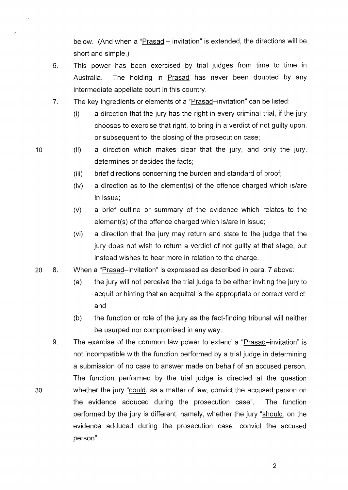below. (And when a "Prasad – invitation" is extended, the directions will be short and simple.)

- 6. This power has been exercised by trial judges from time to time in Australia. The holding in Prasad has never been doubted by any intermediate appellate court in this country.
- 7. The key ingredients or elements of a "Prasad-invitation" can be listed:
	- (i) a direction that the jury has the right in every criminal trial, if the jury chooses to exercise that right, to bring in a verdict of not guilty upon, or subsequent to, the closing of the prosecution case;
- (ii) a direction which makes clear that the jury, and only the jury, determines or decides the facts;
	- (iii) brief directions concerning the burden and standard of proof;
	- (iv) a direction as to the element(s) of the offence charged which is/are in issue;
	- (v) a brief outline or summary of the evidence which relates to the element(s) of the offence charged which is/are in issue;
	- (vi) a direction that the jury may return and state to the judge that the jury does not wish to return a verdict of not guilty at that stage, but instead wishes to hear more in relation to the charge.
- 20 8. When a "Prasad-invitation" is expressed as described in para. 7 above:
	- (a) the jury will not perceive the trial judge to be either inviting the jury to acquit or hinting that an acquittal is the appropriate or correct verdict; and
	- (b) the function or role of the jury as the fact-finding tribunal will neither be usurped nor compromised in any way.
- 9. The exercise of the common law power to extend a "Prasad-invitation" is not incompatible with the function performed by a trial judge in determining a submission of no case to answer made on behalf of an accused person. The function performed by the trial judge is directed at the question 30 whether the jury "could, as a matter of law, convict the accused person on the evidence adduced during the prosecution case". The function performed by the jury is different, namely, whether the jury "should, on the evidence adduced during the prosecution case, convict the accused person".

10